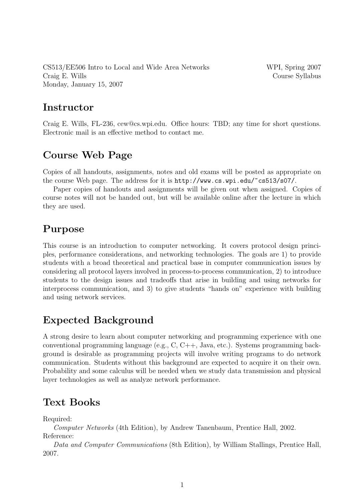CS513/EE506 Intro to Local and Wide Area Networks WPI, Spring 2007 Craig E. Wills Course Syllabus Monday, January 15, 2007

### **Instructor**

Craig E. Wills, FL-236, cew@cs.wpi.edu. Office hours: TBD; any time for short questions. Electronic mail is an effective method to contact me.

## Course Web Page

Copies of all handouts, assignments, notes and old exams will be posted as appropriate on the course Web page. The address for it is http://www.cs.wpi.edu/~cs513/s07/.

Paper copies of handouts and assignments will be given out when assigned. Copies of course notes will not be handed out, but will be available online after the lecture in which they are used.

# Purpose

This course is an introduction to computer networking. It covers protocol design principles, performance considerations, and networking technologies. The goals are 1) to provide students with a broad theoretical and practical base in computer communication issues by considering all protocol layers involved in process-to-process communication, 2) to introduce students to the design issues and tradeoffs that arise in building and using networks for interprocess communication, and 3) to give students "hands on" experience with building and using network services.

# Expected Background

A strong desire to learn about computer networking and programming experience with one conventional programming language (e.g., C, C++, Java, etc.). Systems programming background is desirable as programming projects will involve writing programs to do network communication. Students without this background are expected to acquire it on their own. Probability and some calculus will be needed when we study data transmission and physical layer technologies as well as analyze network performance.

### Text Books

Required:

Computer Networks (4th Edition), by Andrew Tanenbaum, Prentice Hall, 2002. Reference:

Data and Computer Communications (8th Edition), by William Stallings, Prentice Hall, 2007.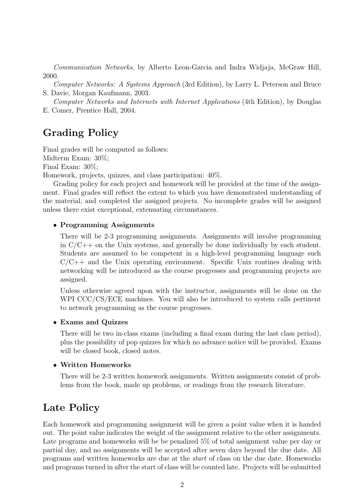Communication Networks, by Alberto Leon-Garcia and Indra Widjaja, McGraw Hill, 2000.

Computer Networks: A Systems Approach (3rd Edition), by Larry L. Peterson and Bruce S. Davie, Morgan Kaufmann, 2003.

Computer Networks and Internets with Internet Applications (4th Edition), by Douglas E. Comer, Prentice Hall, 2004.

## Grading Policy

Final grades will be computed as follows: Midterm Exam: 30%; Final Exam: 30%;

Homework, projects, quizzes, and class participation: 40%.

Grading policy for each project and homework will be provided at the time of the assignment. Final grades will reflect the extent to which you have demonstrated understanding of the material, and completed the assigned projects. No incomplete grades will be assigned unless there exist exceptional, extenuating circumstances.

#### • Programming Assignments

There will be 2-3 programming assignments. Assignments will involve programming in  $C/C++$  on the Unix systems, and generally be done individually by each student. Students are assumed to be competent in a high-level programming language such  $C/C++$  and the Unix operating environment. Specific Unix routines dealing with networking will be introduced as the course progresses and programming projects are assigned.

Unless otherwise agreed upon with the instructor, assignments will be done on the WPI CCC/CS/ECE machines. You will also be introduced to system calls pertinent to network programming as the course progresses.

#### • Exams and Quizzes

There will be two in-class exams (including a final exam during the last class period), plus the possibility of pop quizzes for which no advance notice will be provided. Exams will be closed book, closed notes.

#### • Written Homeworks

There will be 2-3 written homework assignments. Written assignments consist of problems from the book, made up problems, or readings from the research literature.

### Late Policy

Each homework and programming assignment will be given a point value when it is handed out. The point value indicates the weight of the assignment relative to the other assignments. Late programs and homeworks will be be penalized 5% of total assignment value per day or partial day, and no assignments will be accepted after seven days beyond the due date. All programs and written homeworks are due at the start of class on the due date. Homeworks and programs turned in after the start of class will be counted late. Projects will be submitted